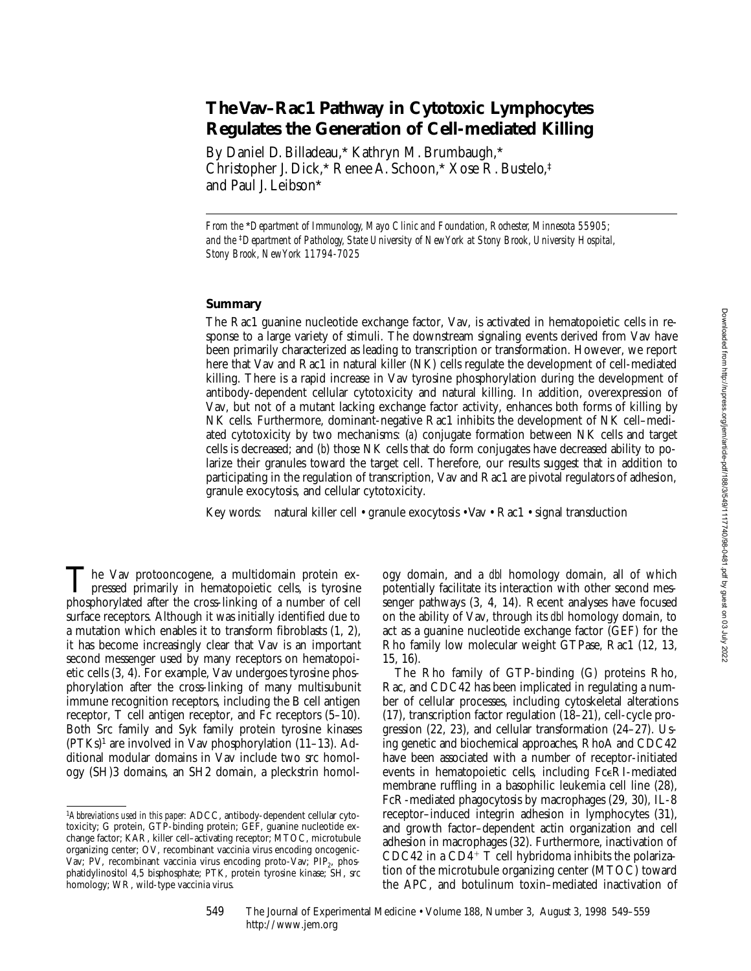# **The Vav–Rac1 Pathway in Cytotoxic Lymphocytes Regulates the Generation of Cell-mediated Killing**

By Daniel D. Billadeau,\* Kathryn M. Brumbaugh,\* Christopher J. Dick,\* Renee A. Schoon,\* Xose R. Bustelo,‡ and Paul J. Leibson\*

*From the* \**Department of Immunology, Mayo Clinic and Foundation, Rochester, Minnesota 55905; and the* ‡*Department of Pathology, State University of New York at Stony Brook, University Hospital, Stony Brook, New York 11794-7025*

## **Summary**

The Rac1 guanine nucleotide exchange factor, Vav, is activated in hematopoietic cells in response to a large variety of stimuli. The downstream signaling events derived from Vav have been primarily characterized as leading to transcription or transformation. However, we report here that Vav and Rac1 in natural killer (NK) cells regulate the development of cell-mediated killing. There is a rapid increase in Vav tyrosine phosphorylation during the development of antibody-dependent cellular cytotoxicity and natural killing. In addition, overexpression of Vav, but not of a mutant lacking exchange factor activity, enhances both forms of killing by NK cells. Furthermore, dominant-negative Rac1 inhibits the development of NK cell–mediated cytotoxicity by two mechanisms: (*a*) conjugate formation between NK cells and target cells is decreased; and (*b*) those NK cells that do form conjugates have decreased ability to polarize their granules toward the target cell. Therefore, our results suggest that in addition to participating in the regulation of transcription, Vav and Rac1 are pivotal regulators of adhesion, granule exocytosis, and cellular cytotoxicity.

Key words: natural killer cell • granule exocytosis • Vav • Rac1 • signal transduction

he Vav protooncogene, a multidomain protein expressed primarily in hematopoietic cells, is tyrosine The Vav protooncogene, a multidomain protein expressed primarily in hematopoietic cells, is tyrosine phosphorylated after the cross-linking of a number of cell surface receptors. Although it was initially identified due to a mutation which enables it to transform fibroblasts (1, 2), it has become increasingly clear that Vav is an important second messenger used by many receptors on hematopoietic cells (3, 4). For example, Vav undergoes tyrosine phosphorylation after the cross-linking of many multisubunit immune recognition receptors, including the B cell antigen receptor, T cell antigen receptor, and Fc receptors (5–10). Both Src family and Syk family protein tyrosine kinases  $(PTKs)<sup>1</sup>$  are involved in Vav phosphorylation (11–13). Additional modular domains in Vav include two src homology (SH)3 domains, an SH2 domain, a pleckstrin homol-

http://www.jem.org

ogy domain, and a *dbl* homology domain, all of which potentially facilitate its interaction with other second messenger pathways (3, 4, 14). Recent analyses have focused on the ability of Vav, through its *dbl* homology domain, to act as a guanine nucleotide exchange factor (GEF) for the Rho family low molecular weight GTPase, Rac1 (12, 13, 15, 16).

The Rho family of GTP-binding (G) proteins Rho, Rac, and CDC42 has been implicated in regulating a number of cellular processes, including cytoskeletal alterations (17), transcription factor regulation (18–21), cell-cycle progression (22, 23), and cellular transformation (24–27). Using genetic and biochemical approaches, RhoA and CDC42 have been associated with a number of receptor-initiated events in hematopoietic cells, including FceRI-mediated membrane ruffling in a basophilic leukemia cell line (28), FcR-mediated phagocytosis by macrophages (29, 30), IL-8 receptor–induced integrin adhesion in lymphocytes (31), and growth factor–dependent actin organization and cell adhesion in macrophages (32). Furthermore, inactivation of CDC42 in a  $CD4^+$  T cell hybridoma inhibits the polarization of the microtubule organizing center (MTOC) toward the APC, and botulinum toxin–mediated inactivation of

549 The Journal of Experimental Medicine • Volume 188, Number 3, August 3, 1998 549–559

<sup>1</sup>*Abbreviations used in this paper:* ADCC, antibody-dependent cellular cytotoxicity; G protein, GTP-binding protein; GEF, guanine nucleotide exchange factor; KAR, killer cell–activating receptor; MTOC, microtubule organizing center; OV, recombinant vaccinia virus encoding oncogenic-Vav; PV, recombinant vaccinia virus encoding proto-Vav; PIP<sub>2</sub>, phosphatidylinositol 4,5 bisphosphate; PTK, protein tyrosine kinase; SH, src homology; WR, wild-type vaccinia virus.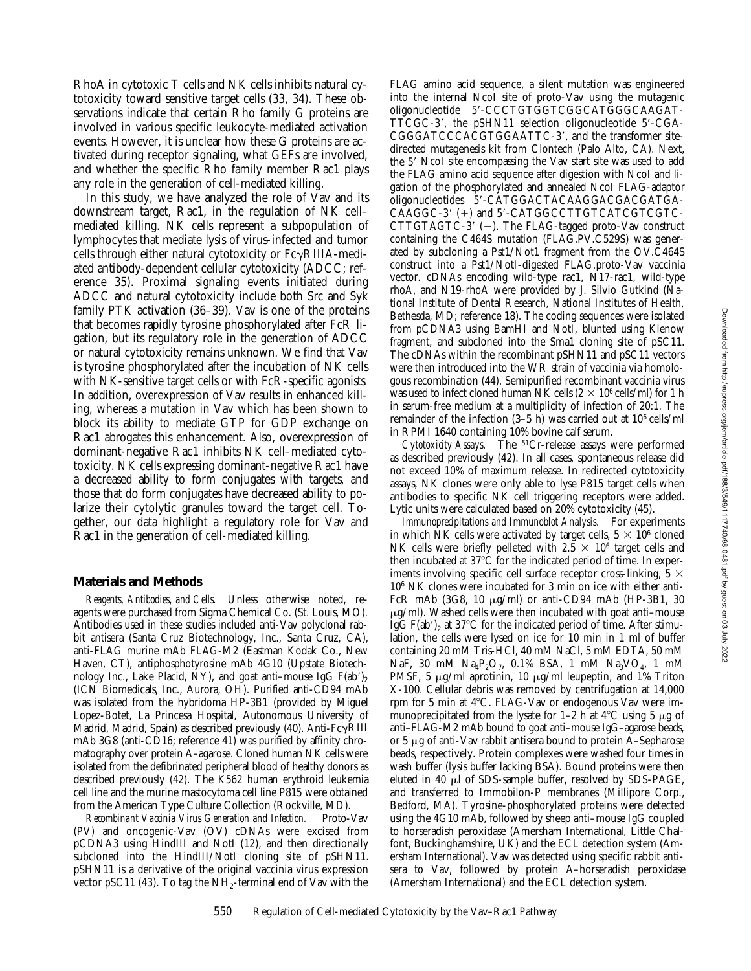RhoA in cytotoxic T cells and NK cells inhibits natural cytotoxicity toward sensitive target cells (33, 34). These observations indicate that certain Rho family G proteins are involved in various specific leukocyte-mediated activation events. However, it is unclear how these G proteins are activated during receptor signaling, what GEFs are involved, and whether the specific Rho family member Rac1 plays any role in the generation of cell-mediated killing.

In this study, we have analyzed the role of Vav and its downstream target, Rac1, in the regulation of NK cell– mediated killing. NK cells represent a subpopulation of lymphocytes that mediate lysis of virus-infected and tumor cells through either natural cytotoxicity or  $Fe\gamma$ RIIIA-mediated antibody-dependent cellular cytotoxicity (ADCC; reference 35). Proximal signaling events initiated during ADCC and natural cytotoxicity include both Src and Syk family PTK activation (36–39). Vav is one of the proteins that becomes rapidly tyrosine phosphorylated after FcR ligation, but its regulatory role in the generation of ADCC or natural cytotoxicity remains unknown. We find that Vav is tyrosine phosphorylated after the incubation of NK cells with NK-sensitive target cells or with FcR-specific agonists. In addition, overexpression of Vav results in enhanced killing, whereas a mutation in Vav which has been shown to block its ability to mediate GTP for GDP exchange on Rac1 abrogates this enhancement. Also, overexpression of dominant-negative Rac1 inhibits NK cell–mediated cytotoxicity. NK cells expressing dominant-negative Rac1 have a decreased ability to form conjugates with targets, and those that do form conjugates have decreased ability to polarize their cytolytic granules toward the target cell. Together, our data highlight a regulatory role for Vav and Rac1 in the generation of cell-mediated killing.

### **Materials and Methods**

*Reagents, Antibodies, and Cells.* Unless otherwise noted, reagents were purchased from Sigma Chemical Co. (St. Louis, MO). Antibodies used in these studies included anti-Vav polyclonal rabbit antisera (Santa Cruz Biotechnology, Inc., Santa Cruz, CA), anti-FLAG murine mAb FLAG-M2 (Eastman Kodak Co., New Haven, CT), antiphosphotyrosine mAb 4G10 (Upstate Biotechnology Inc., Lake Placid, NY), and goat anti–mouse IgG  $F(ab')_2$ (ICN Biomedicals, Inc., Aurora, OH). Purified anti-CD94 mAb was isolated from the hybridoma HP-3B1 (provided by Miguel Lopez-Botet, La Princesa Hospital, Autonomous University of Madrid, Madrid, Spain) as described previously (40). Anti- $Fc\gamma$ RIII mAb 3G8 (anti-CD16; reference 41) was purified by affinity chromatography over protein A–agarose. Cloned human NK cells were isolated from the defibrinated peripheral blood of healthy donors as described previously (42). The K562 human erythroid leukemia cell line and the murine mastocytoma cell line P815 were obtained from the American Type Culture Collection (Rockville, MD).

*Recombinant Vaccinia Virus Generation and Infection.* Proto-Vav (PV) and oncogenic-Vav (OV) cDNAs were excised from pCDNA3 using HindIII and NotI (12), and then directionally subcloned into the HindIII/NotI cloning site of pSHN11. pSHN11 is a derivative of the original vaccinia virus expression vector pSC11 (43). To tag the  $NH_2$ -terminal end of Vav with the

FLAG amino acid sequence, a silent mutation was engineered into the internal NcoI site of proto-Vav using the mutagenic oligonucleotide 5'-CCCTGTGGTCGGCATGGGCAAGAT- $TTCGC-3'$ , the pSHN11 selection oligonucleotide  $5'-CGA-$ CGGGATCCCACGTGGAATTC-3', and the transformer sitedirected mutagenesis kit from Clontech (Palo Alto, CA). Next, the 5' NcoI site encompassing the Vav start site was used to add the FLAG amino acid sequence after digestion with NcoI and ligation of the phosphorylated and annealed NcoI FLAG-adaptor oligonucleotides 5'-CATGGACTACAAGGACGACGATGA-CAAGGC-3' (+) and 5'-CATGGCCTTGTCATCGTCGTC-CTTGTAGTC-3'  $(-)$ . The FLAG-tagged proto-Vav construct containing the C464S mutation (FLAG.PV.C529S) was generated by subcloning a Pst1/Not1 fragment from the OV.C464S construct into a Pst1/NotI-digested FLAG.proto-Vav vaccinia vector. cDNAs encoding wild-type rac1, N17-rac1, wild-type rhoA, and N19-rhoA were provided by J. Silvio Gutkind (National Institute of Dental Research, National Institutes of Health, Bethesda, MD; reference 18). The coding sequences were isolated from pCDNA3 using BamHI and NotI, blunted using Klenow fragment, and subcloned into the Sma1 cloning site of pSC11. The cDNAs within the recombinant pSHN11 and pSC11 vectors were then introduced into the WR strain of vaccinia via homologous recombination (44). Semipurified recombinant vaccinia virus was used to infect cloned human NK cells  $(2 \times 10^6 \text{ cells/ml})$  for 1 h in serum-free medium at a multiplicity of infection of 20:1. The remainder of the infection (3–5 h) was carried out at 106 cells/ml in RPMI 1640 containing 10% bovine calf serum.

*Cytotoxicity Assays.* The 51Cr-release assays were performed as described previously (42). In all cases, spontaneous release did not exceed 10% of maximum release. In redirected cytotoxicity assays, NK clones were only able to lyse P815 target cells when antibodies to specific NK cell triggering receptors were added. Lytic units were calculated based on 20% cytotoxicity (45).

*Immunoprecipitations and Immunoblot Analysis.* For experiments in which NK cells were activated by target cells,  $5 \times 10^6$  cloned NK cells were briefly pelleted with  $2.5 \times 10^6$  target cells and then incubated at  $37^{\circ}C$  for the indicated period of time. In experiments involving specific cell surface receptor cross-linking,  $5 \times$ 106 NK clones were incubated for 3 min on ice with either anti-FcR mAb (3G8, 10 mg/ml) or anti-CD94 mAb (HP-3B1, 30  $\mu$ g/ml). Washed cells were then incubated with goat anti-mouse IgG  $F(ab')_2$  at 37°C for the indicated period of time. After stimulation, the cells were lysed on ice for 10 min in 1 ml of buffer containing 20 mM Tris-HCl, 40 mM NaCl, 5 mM EDTA, 50 mM NaF, 30 mM  $Na_4P_2O_7$ , 0.1% BSA, 1 mM  $Na_3VO_4$ , 1 mM PMSF, 5  $\mu$ g/ml aprotinin, 10  $\mu$ g/ml leupeptin, and 1% Triton X-100. Cellular debris was removed by centrifugation at 14,000 rpm for 5 min at 4°C. FLAG-Vav or endogenous Vav were immunoprecipitated from the lysate for 1–2 h at  $4^{\circ}$ C using 5 µg of anti–FLAG-M2 mAb bound to goat anti–mouse IgG–agarose beads, or 5  $\mu$ g of anti-Vav rabbit antisera bound to protein A–Sepharose beads, respectively. Protein complexes were washed four times in wash buffer (lysis buffer lacking BSA). Bound proteins were then eluted in 40  $\mu$ l of SDS-sample buffer, resolved by SDS-PAGE, and transferred to Immobilon-P membranes (Millipore Corp., Bedford, MA). Tyrosine-phosphorylated proteins were detected using the 4G10 mAb, followed by sheep anti–mouse IgG coupled to horseradish peroxidase (Amersham International, Little Chalfont, Buckinghamshire, UK) and the ECL detection system (Amersham International). Vav was detected using specific rabbit antisera to Vav, followed by protein A–horseradish peroxidase (Amersham International) and the ECL detection system.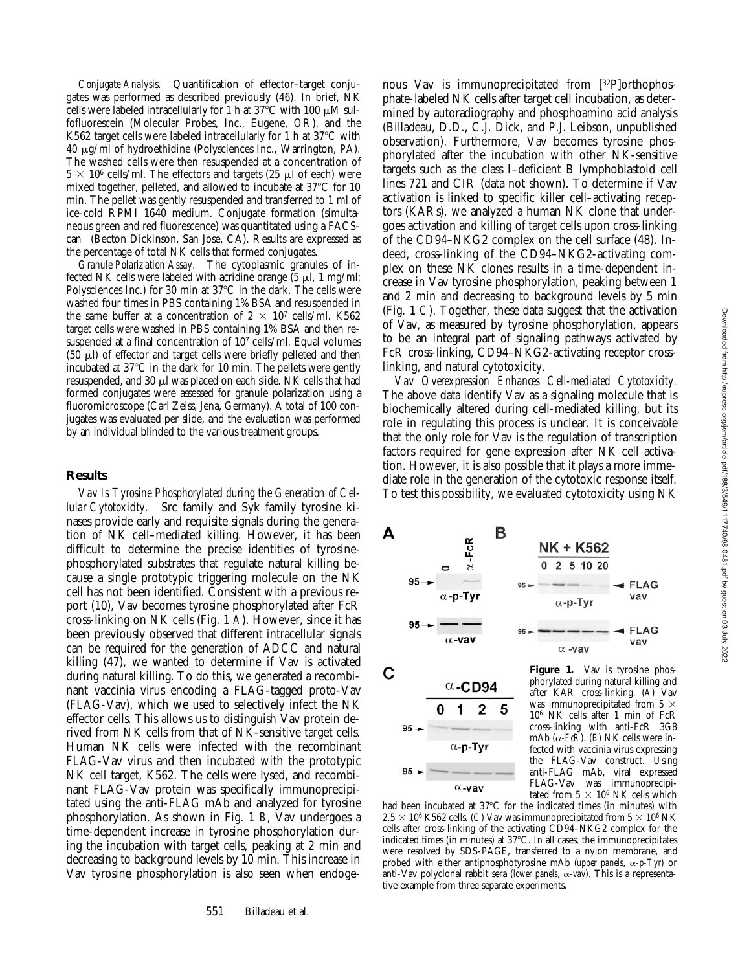*Conjugate Analysis.* Quantification of effector–target conjugates was performed as described previously (46). In brief, NK cells were labeled intracellularly for 1 h at  $37^{\circ}$ C with 100  $\mu$ M sulfofluorescein (Molecular Probes, Inc., Eugene, OR), and the K562 target cells were labeled intracellularly for 1 h at  $37^{\circ}$ C with 40 mg/ml of hydroethidine (Polysciences Inc., Warrington, PA). The washed cells were then resuspended at a concentration of  $5 \times 10^6$  cells/ml. The effectors and targets (25 µl of each) were mixed together, pelleted, and allowed to incubate at  $37^{\circ}$ C for 10 min. The pellet was gently resuspended and transferred to 1 ml of ice-cold RPMI 1640 medium. Conjugate formation (simultaneous green and red fluorescence) was quantitated using a FACScan<sup>®</sup> (Becton Dickinson, San Jose, CA). Results are expressed as the percentage of total NK cells that formed conjugates.

*Granule Polarization Assay.* The cytoplasmic granules of infected NK cells were labeled with acridine orange  $(5 \mu l, 1 \text{ mg/ml})$ ; Polysciences Inc.) for 30 min at  $37^{\circ}$ C in the dark. The cells were washed four times in PBS containing 1% BSA and resuspended in the same buffer at a concentration of  $2 \times 10^7$  cells/ml. K562 target cells were washed in PBS containing 1% BSA and then resuspended at a final concentration of 107 cells/ml. Equal volumes  $(50 \mu l)$  of effector and target cells were briefly pelleted and then incubated at 37°C in the dark for 10 min. The pellets were gently resuspended, and 30  $\mu$ l was placed on each slide. NK cells that had formed conjugates were assessed for granule polarization using a fluoromicroscope (Carl Zeiss, Jena, Germany). A total of 100 conjugates was evaluated per slide, and the evaluation was performed by an individual blinded to the various treatment groups.

#### **Results**

*Vav Is Tyrosine Phosphorylated during the Generation of Cellular Cytotoxicity.* Src family and Syk family tyrosine kinases provide early and requisite signals during the generation of NK cell–mediated killing. However, it has been difficult to determine the precise identities of tyrosinephosphorylated substrates that regulate natural killing because a single prototypic triggering molecule on the NK cell has not been identified. Consistent with a previous report (10), Vav becomes tyrosine phosphorylated after FcR cross-linking on NK cells (Fig. 1 *A*). However, since it has been previously observed that different intracellular signals can be required for the generation of ADCC and natural killing (47), we wanted to determine if Vav is activated during natural killing. To do this, we generated a recombinant vaccinia virus encoding a FLAG-tagged proto-Vav (FLAG-Vav), which we used to selectively infect the NK effector cells. This allows us to distinguish Vav protein derived from NK cells from that of NK-sensitive target cells. Human NK cells were infected with the recombinant FLAG-Vav virus and then incubated with the prototypic NK cell target, K562. The cells were lysed, and recombinant FLAG-Vav protein was specifically immunoprecipitated using the anti-FLAG mAb and analyzed for tyrosine phosphorylation. As shown in Fig. 1 *B*, Vav undergoes a time-dependent increase in tyrosine phosphorylation during the incubation with target cells, peaking at 2 min and decreasing to background levels by 10 min. This increase in Vav tyrosine phosphorylation is also seen when endoge-

nous Vav is immunoprecipitated from [32P]orthophosphate-labeled NK cells after target cell incubation, as determined by autoradiography and phosphoamino acid analysis (Billadeau, D.D., C.J. Dick, and P.J. Leibson, unpublished observation). Furthermore, Vav becomes tyrosine phosphorylated after the incubation with other NK-sensitive targets such as the class I–deficient B lymphoblastoid cell lines 721 and CIR (data not shown). To determine if Vav activation is linked to specific killer cell–activating receptors (KARs), we analyzed a human NK clone that undergoes activation and killing of target cells upon cross-linking of the CD94–NKG2 complex on the cell surface (48). Indeed, cross-linking of the CD94–NKG2-activating complex on these NK clones results in a time-dependent increase in Vav tyrosine phosphorylation, peaking between 1 and 2 min and decreasing to background levels by 5 min (Fig. 1 *C*). Together, these data suggest that the activation of Vav, as measured by tyrosine phosphorylation, appears to be an integral part of signaling pathways activated by FcR cross-linking, CD94–NKG2-activating receptor crosslinking, and natural cytotoxicity.

*Vav Overexpression Enhances Cell-mediated Cytotoxicity.* The above data identify Vav as a signaling molecule that is biochemically altered during cell-mediated killing, but its role in regulating this process is unclear. It is conceivable that the only role for Vav is the regulation of transcription factors required for gene expression after NK cell activation. However, it is also possible that it plays a more immediate role in the generation of the cytotoxic response itself. To test this possibility, we evaluated cytotoxicity using NK



phorylated during natural killing and after KAR cross-linking. (*A*) Vav was immunoprecipitated from 5  $\times$ 106 NK cells after 1 min of FcR cross-linking with anti-FcR 3G8 mAb  $(\alpha$ -*FcR*). (*B*) NK cells were infected with vaccinia virus expressing the FLAG-Vav construct. Using anti-FLAG mAb, viral expressed was immunoprecipitated from  $5 \times 10^6$  NK cells which

had been incubated at  $37^{\circ}$ C for the indicated times (in minutes) with  $2.5 \times 10^6$  K562 cells. (*C*) Vav was immunoprecipitated from  $5 \times 10^6$  NK cells after cross-linking of the activating CD94–NKG2 complex for the indicated times (in minutes) at  $37^{\circ}$ C. In all cases, the immunoprecipitates were resolved by SDS-PAGE, transferred to a nylon membrane, and probed with either antiphosphotyrosine mAb (*upper panels*, a*-p-Tyr*) or anti-Vav polyclonal rabbit sera (*lower panels*,  $\alpha$ -vav). This is a representative example from three separate experiments.

95

 $\alpha$ -vav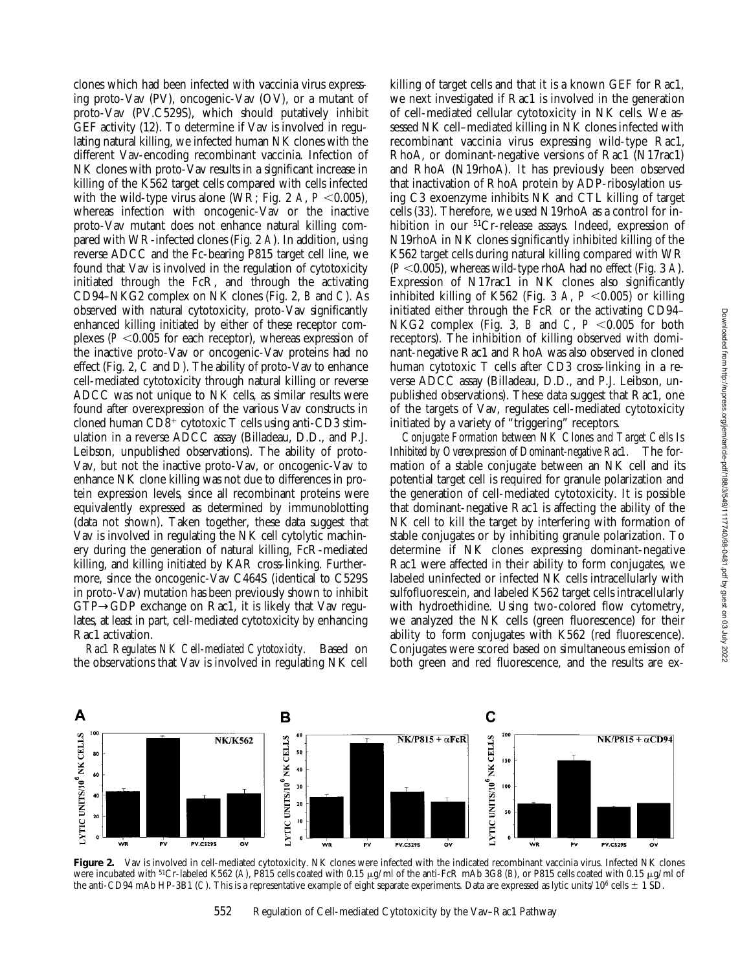clones which had been infected with vaccinia virus expressing proto-Vav (PV), oncogenic-Vav (OV), or a mutant of proto-Vav (PV.C529S), which should putatively inhibit GEF activity (12). To determine if Vav is involved in regulating natural killing, we infected human NK clones with the different Vav-encoding recombinant vaccinia. Infection of NK clones with proto-Vav results in a significant increase in killing of the K562 target cells compared with cells infected with the wild-type virus alone (WR; Fig. 2 A,  $P < 0.005$ ), whereas infection with oncogenic-Vav or the inactive proto-Vav mutant does not enhance natural killing compared with WR-infected clones (Fig. 2 *A*). In addition, using reverse ADCC and the Fc-bearing P815 target cell line, we found that Vav is involved in the regulation of cytotoxicity initiated through the FcR, and through the activating CD94–NKG2 complex on NK clones (Fig. 2, *B* and *C*). As observed with natural cytotoxicity, proto-Vav significantly enhanced killing initiated by either of these receptor complexes ( $P < 0.005$  for each receptor), whereas expression of the inactive proto-Vav or oncogenic-Vav proteins had no effect (Fig. 2, *C* and *D*). The ability of proto-Vav to enhance cell-mediated cytotoxicity through natural killing or reverse ADCC was not unique to NK cells, as similar results were found after overexpression of the various Vav constructs in cloned human  $CD8^+$  cytotoxic T cells using anti-CD3 stimulation in a reverse ADCC assay (Billadeau, D.D., and P.J. Leibson, unpublished observations). The ability of proto-Vav, but not the inactive proto-Vav, or oncogenic-Vav to enhance NK clone killing was not due to differences in protein expression levels, since all recombinant proteins were equivalently expressed as determined by immunoblotting (data not shown). Taken together, these data suggest that Vav is involved in regulating the NK cell cytolytic machinery during the generation of natural killing, FcR-mediated killing, and killing initiated by KAR cross-linking. Furthermore, since the oncogenic-Vav C464S (identical to C529S in proto-Vav) mutation has been previously shown to inhibit GTP→GDP exchange on Rac1, it is likely that Vav regulates, at least in part, cell-mediated cytotoxicity by enhancing Rac1 activation.

*Rac1 Regulates NK Cell-mediated Cytotoxicity.* Based on the observations that Vav is involved in regulating NK cell killing of target cells and that it is a known GEF for Rac1, we next investigated if Rac1 is involved in the generation of cell-mediated cellular cytotoxicity in NK cells. We assessed NK cell–mediated killing in NK clones infected with recombinant vaccinia virus expressing wild-type Rac1, RhoA, or dominant-negative versions of Rac1 (N17rac1) and RhoA (N19rhoA). It has previously been observed that inactivation of RhoA protein by ADP-ribosylation using C3 exoenzyme inhibits NK and CTL killing of target cells (33). Therefore, we used N19rhoA as a control for inhibition in our <sup>51</sup>Cr-release assays. Indeed, expression of N19rhoA in NK clones significantly inhibited killing of the K562 target cells during natural killing compared with WR  $(P<0.005)$ , whereas wild-type rhoA had no effect (Fig. 3 *A*). Expression of N17rac1 in NK clones also significantly inhibited killing of K562 (Fig. 3 *A*,  $P < 0.005$ ) or killing initiated either through the FcR or the activating CD94– NKG2 complex (Fig. 3, *B* and *C*,  $P \le 0.005$  for both receptors). The inhibition of killing observed with dominant-negative Rac1 and RhoA was also observed in cloned human cytotoxic T cells after CD3 cross-linking in a reverse ADCC assay (Billadeau, D.D., and P.J. Leibson, unpublished observations). These data suggest that Rac1, one of the targets of Vav, regulates cell-mediated cytotoxicity initiated by a variety of "triggering" receptors.

*Conjugate Formation between NK Clones and Target Cells Is Inhibited by Overexpression of Dominant-negative Rac1.* The formation of a stable conjugate between an NK cell and its potential target cell is required for granule polarization and the generation of cell-mediated cytotoxicity. It is possible that dominant-negative Rac1 is affecting the ability of the NK cell to kill the target by interfering with formation of stable conjugates or by inhibiting granule polarization. To determine if NK clones expressing dominant-negative Rac1 were affected in their ability to form conjugates, we labeled uninfected or infected NK cells intracellularly with sulfofluorescein, and labeled K562 target cells intracellularly with hydroethidine. Using two-colored flow cytometry, we analyzed the NK cells (green fluorescence) for their ability to form conjugates with K562 (red fluorescence). Conjugates were scored based on simultaneous emission of both green and red fluorescence, and the results are ex-



Figure 2. Vav is involved in cell-mediated cytotoxicity. NK clones were infected with the indicated recombinant vaccinia virus. Infected NK clones were incubated with <sup>51</sup>Cr-labeled K562 (A), P815 cells coated with 0.15 μg/ml of the anti-FcR mAb 3G8 (B), or P815 cells coated with 0.15 μg/ml of the anti-CD94 mAb HP-3B1 (*C*). This is a representative example of eight separate experiments. Data are expressed as lytic units/10<sup>6</sup> cells  $\pm$  1 SD.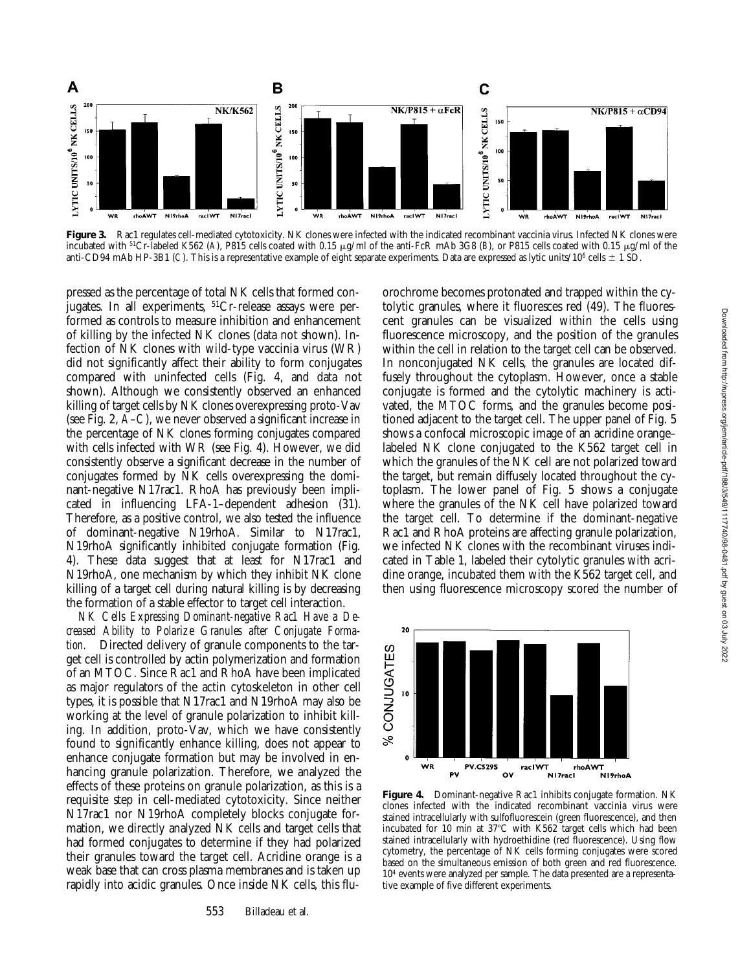

Figure 3. Rac1 regulates cell-mediated cytotoxicity. NK clones were infected with the indicated recombinant vaccinia virus. Infected NK clones were incubated with <sup>51</sup>Cr-labeled K562 (A), P815 cells coated with 0.15  $\mu$ g/ml of the anti-FcR mAb 3G8 (B), or P815 cells coated with 0.15  $\mu$ g/ml of the anti-CD94 mAb HP-3B1 (*C*). This is a representative example of eight separate experiments. Data are expressed as lytic units/10<sup>6</sup> cells  $\pm$  1 SD.

pressed as the percentage of total NK cells that formed conjugates. In all experiments, 51Cr-release assays were performed as controls to measure inhibition and enhancement of killing by the infected NK clones (data not shown). Infection of NK clones with wild-type vaccinia virus (WR) did not significantly affect their ability to form conjugates compared with uninfected cells (Fig. 4, and data not shown). Although we consistently observed an enhanced killing of target cells by NK clones overexpressing proto-Vav (see Fig. 2, *A*–*C*), we never observed a significant increase in the percentage of NK clones forming conjugates compared with cells infected with WR (see Fig. 4). However, we did consistently observe a significant decrease in the number of conjugates formed by NK cells overexpressing the dominant-negative N17rac1. RhoA has previously been implicated in influencing LFA-1–dependent adhesion (31). Therefore, as a positive control, we also tested the influence of dominant-negative N19rhoA. Similar to N17rac1, N19rhoA significantly inhibited conjugate formation (Fig. 4). These data suggest that at least for N17rac1 and N19rhoA, one mechanism by which they inhibit NK clone killing of a target cell during natural killing is by decreasing the formation of a stable effector to target cell interaction.

*NK Cells Expressing Dominant-negative Rac1 Have a Decreased Ability to Polarize Granules after Conjugate Formation.* Directed delivery of granule components to the target cell is controlled by actin polymerization and formation of an MTOC. Since Rac1 and RhoA have been implicated as major regulators of the actin cytoskeleton in other cell types, it is possible that N17rac1 and N19rhoA may also be working at the level of granule polarization to inhibit killing. In addition, proto-Vav, which we have consistently found to significantly enhance killing, does not appear to enhance conjugate formation but may be involved in enhancing granule polarization. Therefore, we analyzed the effects of these proteins on granule polarization, as this is a requisite step in cell-mediated cytotoxicity. Since neither N17rac1 nor N19rhoA completely blocks conjugate formation, we directly analyzed NK cells and target cells that had formed conjugates to determine if they had polarized their granules toward the target cell. Acridine orange is a weak base that can cross plasma membranes and is taken up rapidly into acidic granules. Once inside NK cells, this flu-

orochrome becomes protonated and trapped within the cytolytic granules, where it fluoresces red (49). The fluorescent granules can be visualized within the cells using fluorescence microscopy, and the position of the granules within the cell in relation to the target cell can be observed. In nonconjugated NK cells, the granules are located diffusely throughout the cytoplasm. However, once a stable conjugate is formed and the cytolytic machinery is activated, the MTOC forms, and the granules become positioned adjacent to the target cell. The upper panel of Fig. 5 shows a confocal microscopic image of an acridine orange– labeled NK clone conjugated to the K562 target cell in which the granules of the NK cell are not polarized toward the target, but remain diffusely located throughout the cytoplasm. The lower panel of Fig. 5 shows a conjugate where the granules of the NK cell have polarized toward the target cell. To determine if the dominant-negative Rac1 and RhoA proteins are affecting granule polarization, we infected NK clones with the recombinant viruses indicated in Table 1, labeled their cytolytic granules with acridine orange, incubated them with the K562 target cell, and then using fluorescence microscopy scored the number of



**Figure 4.** Dominant-negative Rac1 inhibits conjugate formation. NK clones infected with the indicated recombinant vaccinia virus were stained intracellularly with sulfofluorescein (green fluorescence), and then incubated for 10 min at  $37^{\circ}$ C with K562 target cells which had been stained intracellularly with hydroethidine (red fluorescence). Using flow cytometry, the percentage of NK cells forming conjugates were scored based on the simultaneous emission of both green and red fluorescence. 104 events were analyzed per sample. The data presented are a representative example of five different experiments.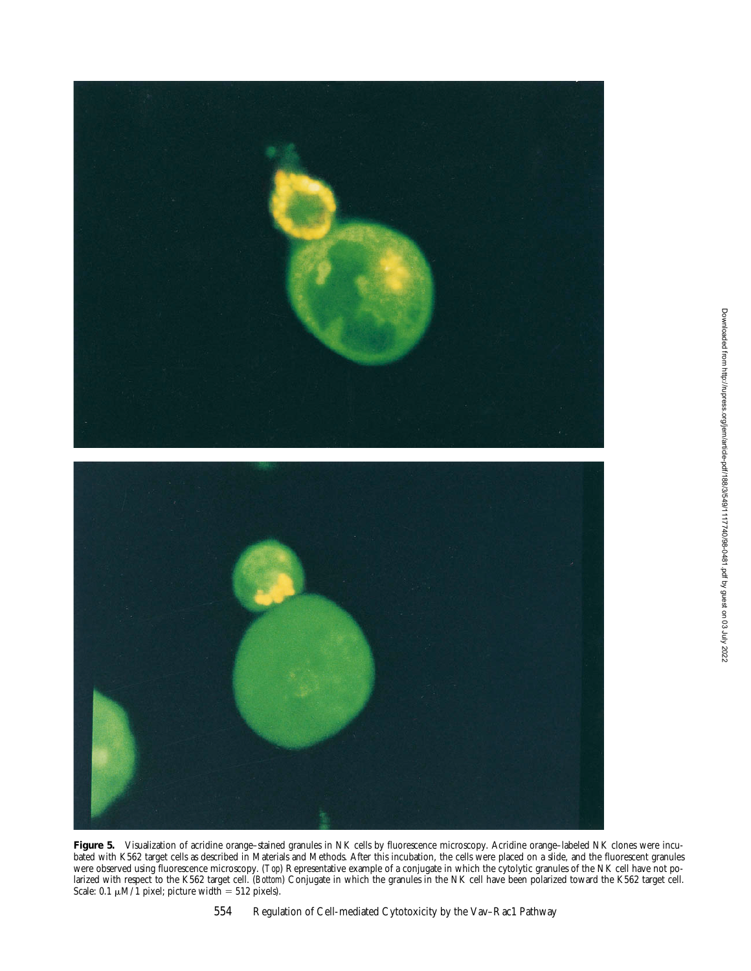

Figure 5. Visualization of acridine orange-stained granules in NK cells by fluorescence microscopy. Acridine orange-labeled NK clones were incubated with K562 target cells as described in Materials and Methods. After this incubation, the cells were placed on a slide, and the fluorescent granules were observed using fluorescence microscopy. (*Top*) Representative example of a conjugate in which the cytolytic granules of the NK cell have not polarized with respect to the K562 target cell. (*Bottom*) Conjugate in which the granules in the NK cell have been polarized toward the K562 target cell. Scale: 0.1  $\mu$ M/1 pixel; picture width = 512 pixels).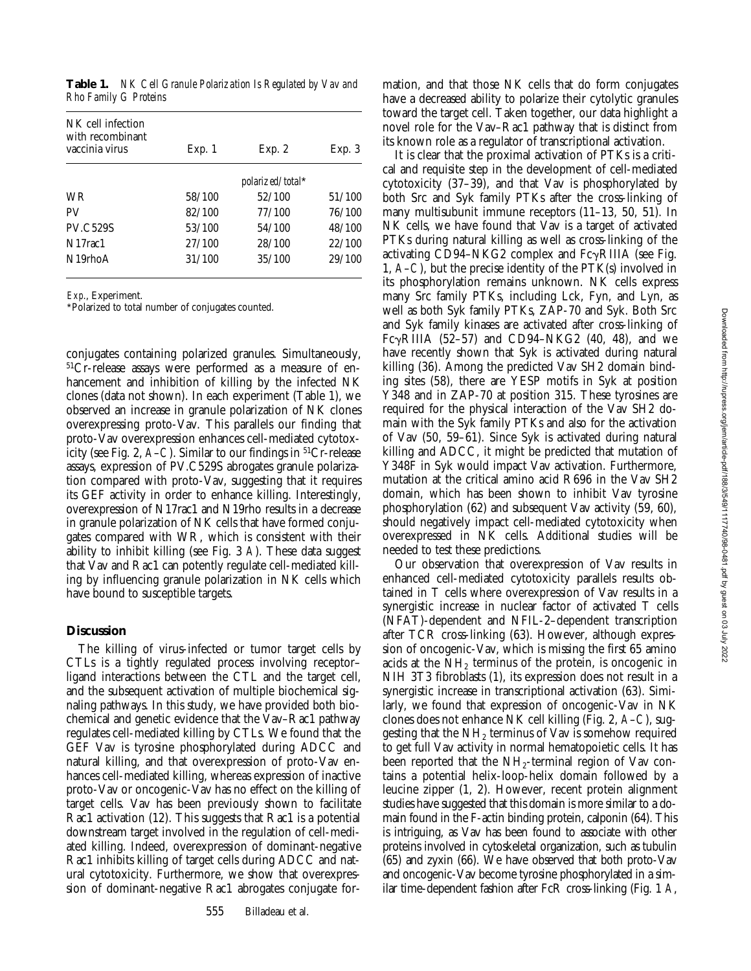|                       | Table 1. NK Cell Granule Polarization Is Regulated by Vav and |
|-----------------------|---------------------------------------------------------------|
| Rho Family G Proteins |                                                               |

| NK cell infection<br>with recombinant<br>vaccinia virus | Exp. 1 | Exp. 2           | Exp. 3 |
|---------------------------------------------------------|--------|------------------|--------|
|                                                         |        | polarized/total* |        |
| <b>WR</b>                                               | 58/100 | 52/100           | 51/100 |
| <b>PV</b>                                               | 82/100 | 77/100           | 76/100 |
| <b>PV.C529S</b>                                         | 53/100 | 54/100           | 48/100 |
| N <sub>17</sub> rac <sub>1</sub>                        | 27/100 | 28/100           | 22/100 |
| $N19$ rho $A$                                           | 31/100 | 35/100           | 29/100 |
|                                                         |        |                  |        |

*Exp*., Experiment.

\*Polarized to total number of conjugates counted.

conjugates containing polarized granules. Simultaneously, 51Cr-release assays were performed as a measure of enhancement and inhibition of killing by the infected NK clones (data not shown). In each experiment (Table 1), we observed an increase in granule polarization of NK clones overexpressing proto-Vav. This parallels our finding that proto-Vav overexpression enhances cell-mediated cytotoxicity (see Fig. 2, *A*–*C*). Similar to our findings in 51Cr-release assays, expression of PV.C529S abrogates granule polarization compared with proto-Vav, suggesting that it requires its GEF activity in order to enhance killing. Interestingly, overexpression of N17rac1 and N19rho results in a decrease in granule polarization of NK cells that have formed conjugates compared with WR, which is consistent with their ability to inhibit killing (see Fig. 3 *A*). These data suggest that Vav and Rac1 can potently regulate cell-mediated killing by influencing granule polarization in NK cells which have bound to susceptible targets.

## **Discussion**

The killing of virus-infected or tumor target cells by CTLs is a tightly regulated process involving receptor– ligand interactions between the CTL and the target cell, and the subsequent activation of multiple biochemical signaling pathways. In this study, we have provided both biochemical and genetic evidence that the Vav–Rac1 pathway regulates cell-mediated killing by CTLs. We found that the GEF Vav is tyrosine phosphorylated during ADCC and natural killing, and that overexpression of proto-Vav enhances cell-mediated killing, whereas expression of inactive proto-Vav or oncogenic-Vav has no effect on the killing of target cells. Vav has been previously shown to facilitate Rac1 activation (12). This suggests that Rac1 is a potential downstream target involved in the regulation of cell-mediated killing. Indeed, overexpression of dominant-negative Rac1 inhibits killing of target cells during ADCC and natural cytotoxicity. Furthermore, we show that overexpression of dominant-negative Rac1 abrogates conjugate formation, and that those NK cells that do form conjugates have a decreased ability to polarize their cytolytic granules toward the target cell. Taken together, our data highlight a novel role for the Vav–Rac1 pathway that is distinct from its known role as a regulator of transcriptional activation.

It is clear that the proximal activation of PTKs is a critical and requisite step in the development of cell-mediated cytotoxicity (37–39), and that Vav is phosphorylated by both Src and Syk family PTKs after the cross-linking of many multisubunit immune receptors (11–13, 50, 51). In NK cells, we have found that Vav is a target of activated PTKs during natural killing as well as cross-linking of the activating CD94–NKG2 complex and  $Fc\gamma RIIIA$  (see Fig. 1, *A*–*C*), but the precise identity of the PTK(s) involved in its phosphorylation remains unknown. NK cells express many Src family PTKs, including Lck, Fyn, and Lyn, as well as both Syk family PTKs, ZAP-70 and Syk. Both Src and Syk family kinases are activated after cross-linking of Fc $\gamma$ RIIIA (52–57) and CD94–NKG2 (40, 48), and we have recently shown that Syk is activated during natural killing (36). Among the predicted Vav SH2 domain binding sites (58), there are YESP motifs in Syk at position Y348 and in ZAP-70 at position 315. These tyrosines are required for the physical interaction of the Vav SH2 domain with the Syk family PTKs and also for the activation of Vav (50, 59–61). Since Syk is activated during natural killing and ADCC, it might be predicted that mutation of Y348F in Syk would impact Vav activation. Furthermore, mutation at the critical amino acid R696 in the Vav SH2 domain, which has been shown to inhibit Vav tyrosine phosphorylation (62) and subsequent Vav activity (59, 60), should negatively impact cell-mediated cytotoxicity when overexpressed in NK cells. Additional studies will be needed to test these predictions.

Our observation that overexpression of Vav results in enhanced cell-mediated cytotoxicity parallels results obtained in T cells where overexpression of Vav results in a synergistic increase in nuclear factor of activated T cells (NFAT)-dependent and NFIL-2–dependent transcription after TCR cross-linking (63). However, although expression of oncogenic-Vav, which is missing the first 65 amino acids at the  $NH<sub>2</sub>$  terminus of the protein, is oncogenic in NIH 3T3 fibroblasts (1), its expression does not result in a synergistic increase in transcriptional activation (63). Similarly, we found that expression of oncogenic-Vav in NK clones does not enhance NK cell killing (Fig. 2, *A*–*C*), suggesting that the  $NH<sub>2</sub>$  terminus of Vav is somehow required to get full Vav activity in normal hematopoietic cells. It has been reported that the  $NH<sub>2</sub>$ -terminal region of Vav contains a potential helix-loop-helix domain followed by a leucine zipper (1, 2). However, recent protein alignment studies have suggested that this domain is more similar to a domain found in the F-actin binding protein, calponin (64). This is intriguing, as Vav has been found to associate with other proteins involved in cytoskeletal organization, such as tubulin (65) and zyxin (66). We have observed that both proto-Vav and oncogenic-Vav become tyrosine phosphorylated in a similar time-dependent fashion after FcR cross-linking (Fig. 1 *A*,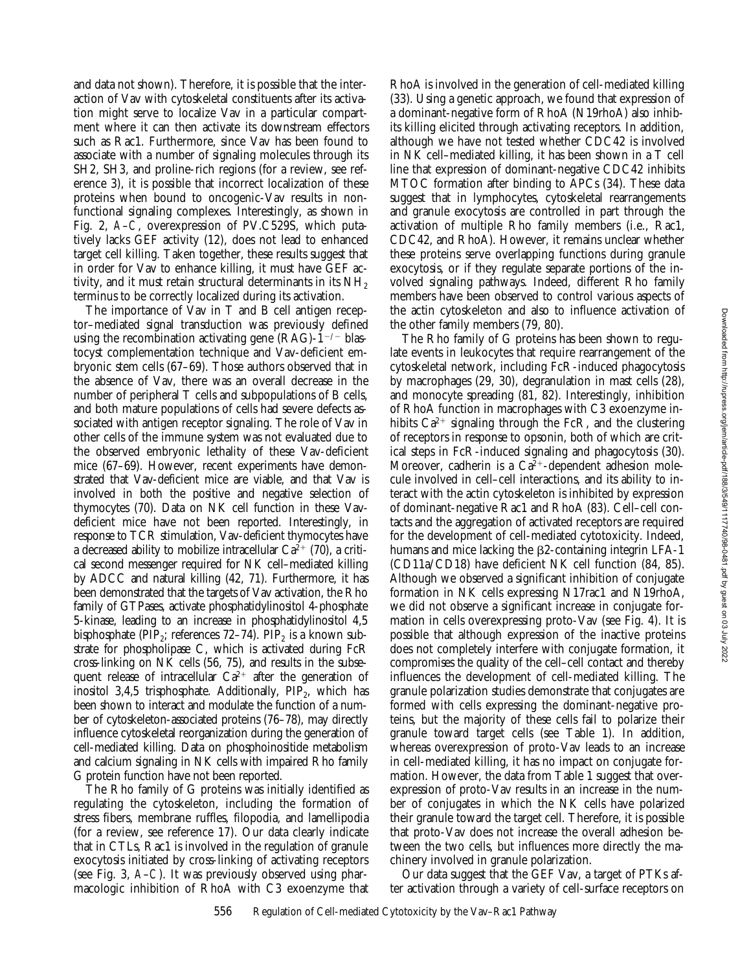and data not shown). Therefore, it is possible that the interaction of Vav with cytoskeletal constituents after its activation might serve to localize Vav in a particular compartment where it can then activate its downstream effectors such as Rac1. Furthermore, since Vav has been found to associate with a number of signaling molecules through its SH2, SH3, and proline-rich regions (for a review, see reference 3), it is possible that incorrect localization of these proteins when bound to oncogenic-Vav results in nonfunctional signaling complexes. Interestingly, as shown in Fig. 2, *A*–*C*, overexpression of PV.C529S, which putatively lacks GEF activity (12), does not lead to enhanced target cell killing. Taken together, these results suggest that in order for Vav to enhance killing, it must have GEF activity, and it must retain structural determinants in its  $NH<sub>2</sub>$ terminus to be correctly localized during its activation.

The importance of Vav in T and B cell antigen receptor–mediated signal transduction was previously defined using the recombination activating gene  $(RAG)-1^{-/-}$  blastocyst complementation technique and Vav-deficient embryonic stem cells (67–69). Those authors observed that in the absence of Vav, there was an overall decrease in the number of peripheral T cells and subpopulations of B cells, and both mature populations of cells had severe defects associated with antigen receptor signaling. The role of Vav in other cells of the immune system was not evaluated due to the observed embryonic lethality of these Vav-deficient mice (67–69). However, recent experiments have demonstrated that Vav-deficient mice are viable, and that Vav is involved in both the positive and negative selection of thymocytes (70). Data on NK cell function in these Vavdeficient mice have not been reported. Interestingly, in response to TCR stimulation, Vav-deficient thymocytes have a decreased ability to mobilize intracellular  $Ca^{2+}$  (70), a critical second messenger required for NK cell–mediated killing by ADCC and natural killing (42, 71). Furthermore, it has been demonstrated that the targets of Vav activation, the Rho family of GTPases, activate phosphatidylinositol 4-phosphate 5-kinase, leading to an increase in phosphatidylinositol 4,5 bisphosphate (PIP<sub>2</sub>; references 72–74). PIP<sub>2</sub> is a known substrate for phospholipase C, which is activated during FcR cross-linking on NK cells (56, 75), and results in the subsequent release of intracellular  $Ca^{2+}$  after the generation of inositol 3,4,5 trisphosphate. Additionally,  $\text{PIP}_2$ , which has been shown to interact and modulate the function of a number of cytoskeleton-associated proteins (76–78), may directly influence cytoskeletal reorganization during the generation of cell-mediated killing. Data on phosphoinositide metabolism and calcium signaling in NK cells with impaired Rho family G protein function have not been reported.

The Rho family of G proteins was initially identified as regulating the cytoskeleton, including the formation of stress fibers, membrane ruffles, filopodia, and lamellipodia (for a review, see reference 17). Our data clearly indicate that in CTLs, Rac1 is involved in the regulation of granule exocytosis initiated by cross-linking of activating receptors (see Fig. 3, *A*–*C*). It was previously observed using pharmacologic inhibition of RhoA with C3 exoenzyme that

RhoA is involved in the generation of cell-mediated killing (33). Using a genetic approach, we found that expression of a dominant-negative form of RhoA (N19rhoA) also inhibits killing elicited through activating receptors. In addition, although we have not tested whether CDC42 is involved in NK cell–mediated killing, it has been shown in a T cell line that expression of dominant-negative CDC42 inhibits MTOC formation after binding to APCs (34). These data suggest that in lymphocytes, cytoskeletal rearrangements and granule exocytosis are controlled in part through the activation of multiple Rho family members (i.e., Rac1, CDC42, and RhoA). However, it remains unclear whether these proteins serve overlapping functions during granule exocytosis, or if they regulate separate portions of the involved signaling pathways. Indeed, different Rho family members have been observed to control various aspects of the actin cytoskeleton and also to influence activation of the other family members (79, 80).

The Rho family of G proteins has been shown to regulate events in leukocytes that require rearrangement of the cytoskeletal network, including FcR-induced phagocytosis by macrophages (29, 30), degranulation in mast cells (28), and monocyte spreading (81, 82). Interestingly, inhibition of RhoA function in macrophages with C3 exoenzyme inhibits  $Ca^{2+}$  signaling through the FcR, and the clustering of receptors in response to opsonin, both of which are critical steps in FcR-induced signaling and phagocytosis (30). Moreover, cadherin is a  $Ca<sup>2+</sup>$ -dependent adhesion molecule involved in cell–cell interactions, and its ability to interact with the actin cytoskeleton is inhibited by expression of dominant-negative Rac1 and RhoA (83). Cell–cell contacts and the aggregation of activated receptors are required for the development of cell-mediated cytotoxicity. Indeed, humans and mice lacking the  $\beta$ 2-containing integrin LFA-1 (CD11a/CD18) have deficient NK cell function (84, 85). Although we observed a significant inhibition of conjugate formation in NK cells expressing N17rac1 and N19rhoA, we did not observe a significant increase in conjugate formation in cells overexpressing proto-Vav (see Fig. 4). It is possible that although expression of the inactive proteins does not completely interfere with conjugate formation, it compromises the quality of the cell–cell contact and thereby influences the development of cell-mediated killing. The granule polarization studies demonstrate that conjugates are formed with cells expressing the dominant-negative proteins, but the majority of these cells fail to polarize their granule toward target cells (see Table 1). In addition, whereas overexpression of proto-Vav leads to an increase in cell-mediated killing, it has no impact on conjugate formation. However, the data from Table 1 suggest that overexpression of proto-Vav results in an increase in the number of conjugates in which the NK cells have polarized their granule toward the target cell. Therefore, it is possible that proto-Vav does not increase the overall adhesion between the two cells, but influences more directly the machinery involved in granule polarization.

Our data suggest that the GEF Vav, a target of PTKs after activation through a variety of cell-surface receptors on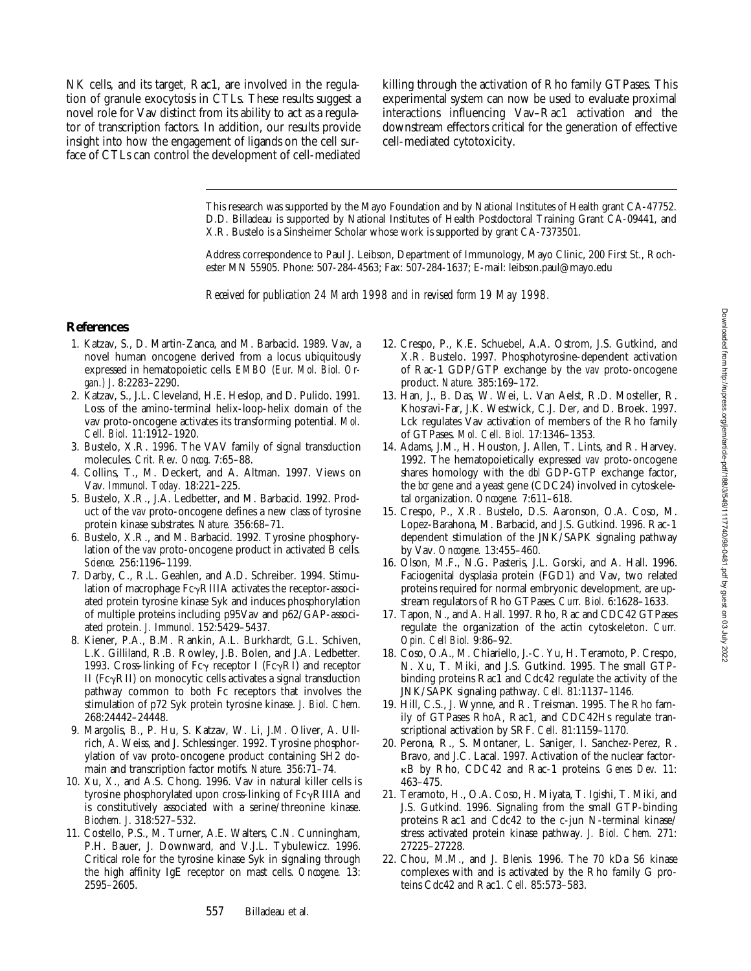NK cells, and its target, Rac1, are involved in the regulation of granule exocytosis in CTLs. These results suggest a novel role for Vav distinct from its ability to act as a regulator of transcription factors. In addition, our results provide insight into how the engagement of ligands on the cell surface of CTLs can control the development of cell-mediated killing through the activation of Rho family GTPases. This experimental system can now be used to evaluate proximal interactions influencing Vav–Rac1 activation and the downstream effectors critical for the generation of effective cell-mediated cytotoxicity.

This research was supported by the Mayo Foundation and by National Institutes of Health grant CA-47752. D.D. Billadeau is supported by National Institutes of Health Postdoctoral Training Grant CA-09441, and X.R. Bustelo is a Sinsheimer Scholar whose work is supported by grant CA-7373501.

Address correspondence to Paul J. Leibson, Department of Immunology, Mayo Clinic, 200 First St., Rochester MN 55905. Phone: 507-284-4563; Fax: 507-284-1637; E-mail: leibson.paul@mayo.edu

*Received for publication 24 March 1998 and in revised form 19 May 1998.*

#### **References**

- 1. Katzav, S., D. Martin-Zanca, and M. Barbacid. 1989. Vav, a novel human oncogene derived from a locus ubiquitously expressed in hematopoietic cells. *EMBO (Eur. Mol. Biol. Organ.) J*. 8:2283–2290.
- 2. Katzav, S., J.L. Cleveland, H.E. Heslop, and D. Pulido. 1991. Loss of the amino-terminal helix-loop-helix domain of the vav proto-oncogene activates its transforming potential. *Mol. Cell. Biol.* 11:1912–1920.
- 3. Bustelo, X.R. 1996. The VAV family of signal transduction molecules. *Crit. Rev. Oncog*. 7:65–88.
- 4. Collins, T., M. Deckert, and A. Altman. 1997. Views on Vav. *Immunol. Today.* 18:221–225.
- 5. Bustelo, X.R., J.A. Ledbetter, and M. Barbacid. 1992. Product of the *vav* proto-oncogene defines a new class of tyrosine protein kinase substrates. *Nature.* 356:68–71.
- 6. Bustelo, X.R., and M. Barbacid. 1992. Tyrosine phosphorylation of the *vav* proto-oncogene product in activated B cells. *Science.* 256:1196–1199.
- 7. Darby, C., R.L. Geahlen, and A.D. Schreiber. 1994. Stimulation of macrophage  $Fc\gamma RIIIA$  activates the receptor-associated protein tyrosine kinase Syk and induces phosphorylation of multiple proteins including p95Vav and p62/GAP-associated protein. *J. Immunol*. 152:5429–5437.
- 8. Kiener, P.A., B.M. Rankin, A.L. Burkhardt, G.L. Schiven, L.K. Gilliland, R.B. Rowley, J.B. Bolen, and J.A. Ledbetter. 1993. Cross-linking of Fc $\gamma$  receptor I (Fc $\gamma$ RI) and receptor II ( $Fc\gamma$ RII) on monocytic cells activates a signal transduction pathway common to both Fc receptors that involves the stimulation of p72 Syk protein tyrosine kinase. *J. Biol. Chem*. 268:24442–24448.
- 9. Margolis, B., P. Hu, S. Katzav, W. Li, J.M. Oliver, A. Ullrich, A. Weiss, and J. Schlessinger. 1992. Tyrosine phosphorylation of *vav* proto-oncogene product containing SH2 domain and transcription factor motifs. *Nature.* 356:71–74.
- 10. Xu, X., and A.S. Chong. 1996. Vav in natural killer cells is tyrosine phosphorylated upon cross-linking of  $Fc\gamma$ RIIIA and is constitutively associated with a serine/threonine kinase. *Biochem. J*. 318:527–532.
- 11. Costello, P.S., M. Turner, A.E. Walters, C.N. Cunningham, P.H. Bauer, J. Downward, and V.J.L. Tybulewicz. 1996. Critical role for the tyrosine kinase Syk in signaling through the high affinity IgE receptor on mast cells. *Oncogene.* 13: 2595–2605.
- 12. Crespo, P., K.E. Schuebel, A.A. Ostrom, J.S. Gutkind, and X.R. Bustelo. 1997. Phosphotyrosine-dependent activation of Rac-1 GDP/GTP exchange by the *vav* proto-oncogene product. *Nature.* 385:169–172.
- 13. Han, J., B. Das, W. Wei, L. Van Aelst, R.D. Mosteller, R. Khosravi-Far, J.K. Westwick, C.J. Der, and D. Broek. 1997. Lck regulates Vav activation of members of the Rho family of GTPases. *Mol. Cell. Biol.* 17:1346–1353.
- 14. Adams, J.M., H. Houston, J. Allen, T. Lints, and R. Harvey. 1992. The hematopoietically expressed *vav* proto-oncogene shares homology with the *dbl* GDP-GTP exchange factor, the *bcr* gene and a yeast gene (CDC24) involved in cytoskeletal organization. *Oncogene.* 7:611–618.
- 15. Crespo, P., X.R. Bustelo, D.S. Aaronson, O.A. Coso, M. Lopez-Barahona, M. Barbacid, and J.S. Gutkind. 1996. Rac-1 dependent stimulation of the JNK/SAPK signaling pathway by Vav. *Oncogene.* 13:455–460.
- 16. Olson, M.F., N.G. Pasteris, J.L. Gorski, and A. Hall. 1996. Faciogenital dysplasia protein (FGD1) and Vav, two related proteins required for normal embryonic development, are upstream regulators of Rho GTPases. *Curr. Biol.* 6:1628–1633.
- 17. Tapon, N., and A. Hall. 1997. Rho, Rac and CDC42 GTPases regulate the organization of the actin cytoskeleton. *Curr. Opin. Cell Biol.* 9:86–92.
- 18. Coso, O.A., M. Chiariello, J.-C. Yu, H. Teramoto, P. Crespo, N. Xu, T. Miki, and J.S. Gutkind. 1995. The small GTPbinding proteins Rac1 and Cdc42 regulate the activity of the JNK/SAPK signaling pathway. *Cell.* 81:1137–1146.
- 19. Hill, C.S., J. Wynne, and R. Treisman. 1995. The Rho family of GTPases RhoA, Rac1, and CDC42Hs regulate transcriptional activation by SRF. *Cell.* 81:1159–1170.
- 20. Perona, R., S. Montaner, L. Saniger, I. Sanchez-Perez, R. Bravo, and J.C. Lacal. 1997. Activation of the nuclear factorkB by Rho, CDC42 and Rac-1 proteins. *Genes Dev.* 11: 463–475.
- 21. Teramoto, H., O.A. Coso, H. Miyata, T. Igishi, T. Miki, and J.S. Gutkind. 1996. Signaling from the small GTP-binding proteins Rac1 and Cdc42 to the c-jun N-terminal kinase/ stress activated protein kinase pathway. *J. Biol. Chem.* 271: 27225–27228.
- 22. Chou, M.M., and J. Blenis. 1996. The 70 kDa S6 kinase complexes with and is activated by the Rho family G proteins Cdc42 and Rac1. *Cell.* 85:573–583.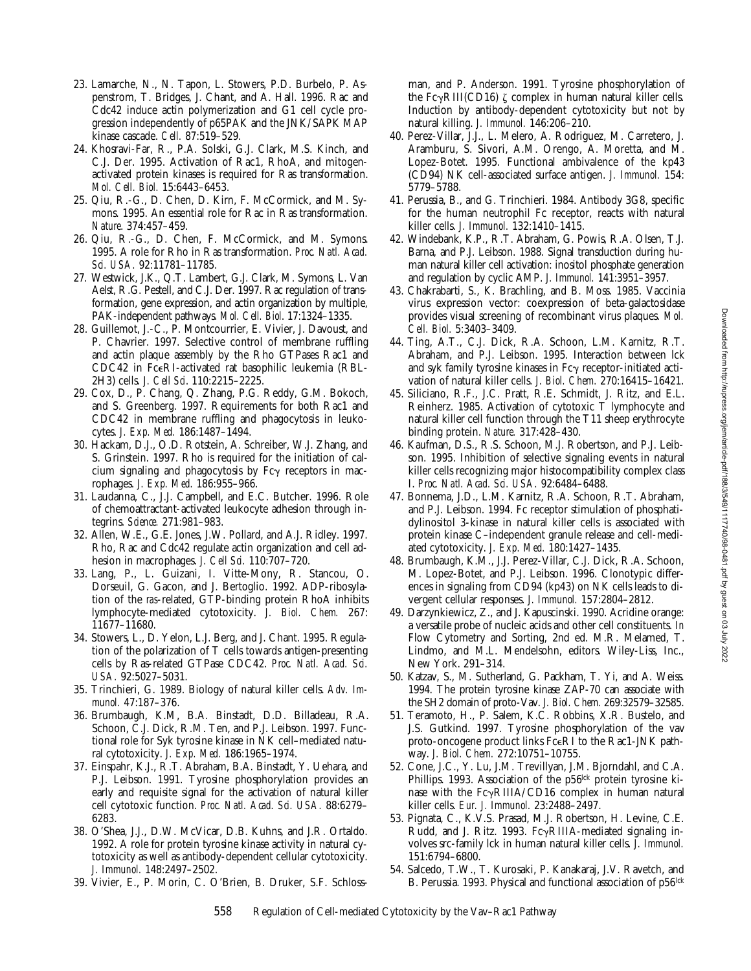- 23. Lamarche, N., N. Tapon, L. Stowers, P.D. Burbelo, P. Aspenstrom, T. Bridges, J. Chant, and A. Hall. 1996. Rac and Cdc42 induce actin polymerization and G1 cell cycle progression independently of p65PAK and the JNK/SAPK MAP kinase cascade. *Cell.* 87:519–529.
- 24. Khosravi-Far, R., P.A. Solski, G.J. Clark, M.S. Kinch, and C.J. Der. 1995. Activation of Rac1, RhoA, and mitogenactivated protein kinases is required for Ras transformation. *Mol. Cell. Biol.* 15:6443–6453.
- 25. Qiu, R.-G., D. Chen, D. Kirn, F. McCormick, and M. Symons. 1995. An essential role for Rac in Ras transformation. *Nature*. 374:457–459.
- 26. Qiu, R.-G., D. Chen, F. McCormick, and M. Symons. 1995. A role for Rho in Ras transformation. *Proc. Natl. Acad. Sci. USA.* 92:11781–11785.
- 27. Westwick, J.K., Q.T. Lambert, G.J. Clark, M. Symons, L. Van Aelst, R.G. Pestell, and C.J. Der. 1997. Rac regulation of transformation, gene expression, and actin organization by multiple, PAK-independent pathways. *Mol. Cell. Biol*. 17:1324–1335.
- 28. Guillemot, J.-C., P. Montcourrier, E. Vivier, J. Davoust, and P. Chavrier. 1997. Selective control of membrane ruffling and actin plaque assembly by the Rho GTPases Rac1 and CDC42 in FceRI-activated rat basophilic leukemia (RBL-2H3) cells. *J. Cell Sci*. 110:2215–2225.
- 29. Cox, D., P. Chang, Q. Zhang, P.G. Reddy, G.M. Bokoch, and S. Greenberg. 1997. Requirements for both Rac1 and CDC42 in membrane ruffling and phagocytosis in leukocytes. *J. Exp. Med.* 186:1487–1494.
- 30. Hackam, D.J., O.D. Rotstein, A. Schreiber, W.J. Zhang, and S. Grinstein. 1997. Rho is required for the initiation of calcium signaling and phagocytosis by  $Fc\gamma$  receptors in macrophages. *J. Exp. Med.* 186:955–966.
- 31. Laudanna, C., J.J. Campbell, and E.C. Butcher. 1996. Role of chemoattractant-activated leukocyte adhesion through integrins. *Science.* 271:981–983.
- 32. Allen, W.E., G.E. Jones, J.W. Pollard, and A.J. Ridley. 1997. Rho, Rac and Cdc42 regulate actin organization and cell adhesion in macrophages. *J. Cell Sci.* 110:707–720.
- 33. Lang, P., L. Guizani, I. Vitte-Mony, R. Stancou, O. Dorseuil, G. Gacon, and J. Bertoglio. 1992. ADP-ribosylation of the *ras*-related, GTP-binding protein RhoA inhibits lymphocyte-mediated cytotoxicity. *J. Biol. Chem.* 267: 11677–11680.
- 34. Stowers, L., D. Yelon, L.J. Berg, and J. Chant. 1995. Regulation of the polarization of T cells towards antigen-presenting cells by Ras-related GTPase CDC42. *Proc. Natl. Acad. Sci. USA.* 92:5027–5031.
- 35. Trinchieri, G. 1989. Biology of natural killer cells. *Adv. Immunol.* 47:187–376.
- 36. Brumbaugh, K.M, B.A. Binstadt, D.D. Billadeau, R.A. Schoon, C.J. Dick, R.M. Ten, and P.J. Leibson. 1997. Functional role for Syk tyrosine kinase in NK cell–mediated natural cytotoxicity. *J. Exp. Med.* 186:1965–1974.
- 37. Einspahr, K.J., R.T. Abraham, B.A. Binstadt, Y. Uehara, and P.J. Leibson. 1991. Tyrosine phosphorylation provides an early and requisite signal for the activation of natural killer cell cytotoxic function. *Proc. Natl. Acad. Sci. USA.* 88:6279– 6283.
- 38. O'Shea, J.J., D.W. McVicar, D.B. Kuhns, and J.R. Ortaldo. 1992. A role for protein tyrosine kinase activity in natural cytotoxicity as well as antibody-dependent cellular cytotoxicity. *J. Immunol.* 148:2497–2502.
- 39. Vivier, E., P. Morin, C. O'Brien, B. Druker, S.F. Schloss-

man, and P. Anderson. 1991. Tyrosine phosphorylation of the Fc $\gamma$ RIII(CD16)  $\zeta$  complex in human natural killer cells. Induction by antibody-dependent cytotoxicity but not by natural killing. *J. Immunol.* 146:206–210.

- 40. Perez-Villar, J.J., L. Melero, A. Rodriguez, M. Carretero, J. Aramburu, S. Sivori, A.M. Orengo, A. Moretta, and M. Lopez-Botet. 1995. Functional ambivalence of the kp43 (CD94) NK cell-associated surface antigen. *J. Immunol.* 154: 5779–5788.
- 41. Perussia, B., and G. Trinchieri. 1984. Antibody 3G8, specific for the human neutrophil Fc receptor, reacts with natural killer cells. *J. Immunol.* 132:1410–1415.
- 42. Windebank, K.P., R.T. Abraham, G. Powis, R.A. Olsen, T.J. Barna, and P.J. Leibson. 1988. Signal transduction during human natural killer cell activation: inositol phosphate generation and regulation by cyclic AMP. *J. Immunol.* 141:3951–3957.
- 43. Chakrabarti, S., K. Brachling, and B. Moss. 1985. Vaccinia virus expression vector: coexpression of beta-galactosidase provides visual screening of recombinant virus plaques. *Mol. Cell. Biol.* 5:3403–3409.
- 44. Ting, A.T., C.J. Dick, R.A. Schoon, L.M. Karnitz, R.T. Abraham, and P.J. Leibson. 1995. Interaction between lck and syk family tyrosine kinases in  $Fc<sub>y</sub>$  receptor-initiated activation of natural killer cells. *J. Biol. Chem.* 270:16415–16421.
- 45. Siliciano, R.F., J.C. Pratt, R.E. Schmidt, J. Ritz, and E.L. Reinherz. 1985. Activation of cytotoxic T lymphocyte and natural killer cell function through the T11 sheep erythrocyte binding protein. *Nature.* 317:428–430.
- 46. Kaufman, D.S., R.S. Schoon, M.J. Robertson, and P.J. Leibson. 1995. Inhibition of selective signaling events in natural killer cells recognizing major histocompatibility complex class I. *Proc. Natl. Acad. Sci. USA.* 92:6484–6488.
- 47. Bonnema, J.D., L.M. Karnitz, R.A. Schoon, R.T. Abraham, and P.J. Leibson. 1994. Fc receptor stimulation of phosphatidylinositol 3-kinase in natural killer cells is associated with protein kinase C–independent granule release and cell-mediated cytotoxicity. *J. Exp. Med.* 180:1427–1435.
- 48. Brumbaugh, K.M., J.J. Perez-Villar, C.J. Dick, R.A. Schoon, M. Lopez-Botet, and P.J. Leibson. 1996. Clonotypic differences in signaling from CD94 (kp43) on NK cells leads to divergent cellular responses. *J. Immunol.* 157:2804–2812.
- 49. Darzynkiewicz, Z., and J. Kapuscinski. 1990. Acridine orange: a versatile probe of nucleic acids and other cell constituents. *In* Flow Cytometry and Sorting, 2nd ed. M.R. Melamed, T. Lindmo, and M.L. Mendelsohn, editors. Wiley-Liss, Inc., New York. 291–314.
- 50. Katzav, S., M. Sutherland, G. Packham, T. Yi, and A. Weiss. 1994. The protein tyrosine kinase ZAP-70 can associate with the SH2 domain of proto-Vav. *J. Biol. Chem.* 269:32579–32585.
- 51. Teramoto, H., P. Salem, K.C. Robbins, X.R. Bustelo, and J.S. Gutkind. 1997. Tyrosine phosphorylation of the vav proto-oncogene product links FceRI to the Rac1-JNK pathway. *J. Biol. Chem.* 272:10751–10755.
- 52. Cone, J.C., Y. Lu, J.M. Trevillyan, J.M. Bjorndahl, and C.A. Phillips. 1993. Association of the p56<sup>lck</sup> protein tyrosine kinase with the  $Fc\gamma RIIIA/CD16$  complex in human natural killer cells. *Eur. J. Immunol.* 23:2488–2497.
- 53. Pignata, C., K.V.S. Prasad, M.J. Robertson, H. Levine, C.E. Rudd, and J. Ritz. 1993.  $Fc\gamma$ RIIIA-mediated signaling involves src-family lck in human natural killer cells. *J. Immunol.* 151:6794–6800.
- 54. Salcedo, T.W., T. Kurosaki, P. Kanakaraj, J.V. Ravetch, and B. Perussia. 1993. Physical and functional association of p56<sup>lck</sup>